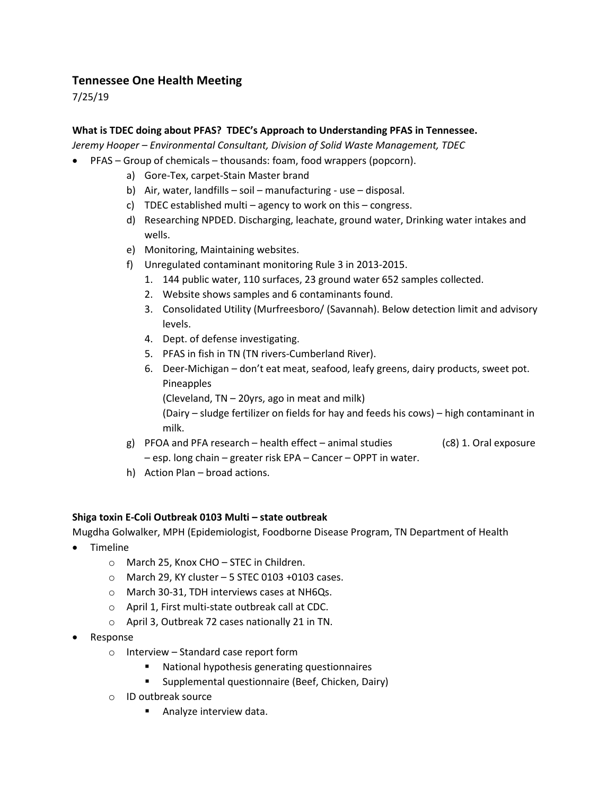## **Tennessee One Health Meeting**

7/25/19

## **What is TDEC doing about PFAS? TDEC's Approach to Understanding PFAS in Tennessee.**

*Jeremy Hooper – Environmental Consultant, Division of Solid Waste Management, TDEC* 

- PFAS Group of chemicals thousands: foam, food wrappers (popcorn).
	- a) Gore-Tex, carpet-Stain Master brand
	- b) Air, water, landfills soil manufacturing use disposal.
	- c) TDEC established multi agency to work on this congress.
	- d) Researching NPDED. Discharging, leachate, ground water, Drinking water intakes and wells.
	- e) Monitoring, Maintaining websites.
	- f) Unregulated contaminant monitoring Rule 3 in 2013-2015.
		- 1. 144 public water, 110 surfaces, 23 ground water 652 samples collected.
		- 2. Website shows samples and 6 contaminants found.
		- 3. Consolidated Utility (Murfreesboro/ (Savannah). Below detection limit and advisory levels.
		- 4. Dept. of defense investigating.
		- 5. PFAS in fish in TN (TN rivers-Cumberland River).
		- 6. Deer-Michigan don't eat meat, seafood, leafy greens, dairy products, sweet pot. Pineapples
			- (Cleveland, TN 20yrs, ago in meat and milk)

(Dairy – sludge fertilizer on fields for hay and feeds his cows) – high contaminant in milk.

- g) PFOA and PFA research health effect animal studies  $(c8)$  1. Oral exposure – esp. long chain – greater risk EPA – Cancer – OPPT in water.
- h) Action Plan broad actions.

## **Shiga toxin E-Coli Outbreak 0103 Multi – state outbreak**

Mugdha Golwalker, MPH (Epidemiologist, Foodborne Disease Program, TN Department of Health

- Timeline
	- o March 25, Knox CHO STEC in Children.
	- $\circ$  March 29, KY cluster 5 STEC 0103 +0103 cases.
	- o March 30-31, TDH interviews cases at NH6Qs.
	- o April 1, First multi-state outbreak call at CDC.
	- o April 3, Outbreak 72 cases nationally 21 in TN.
- Response
	- o Interview Standard case report form
		- National hypothesis generating questionnaires
		- **Supplemental questionnaire (Beef, Chicken, Dairy)**
	- o ID outbreak source
		- **Analyze interview data.**